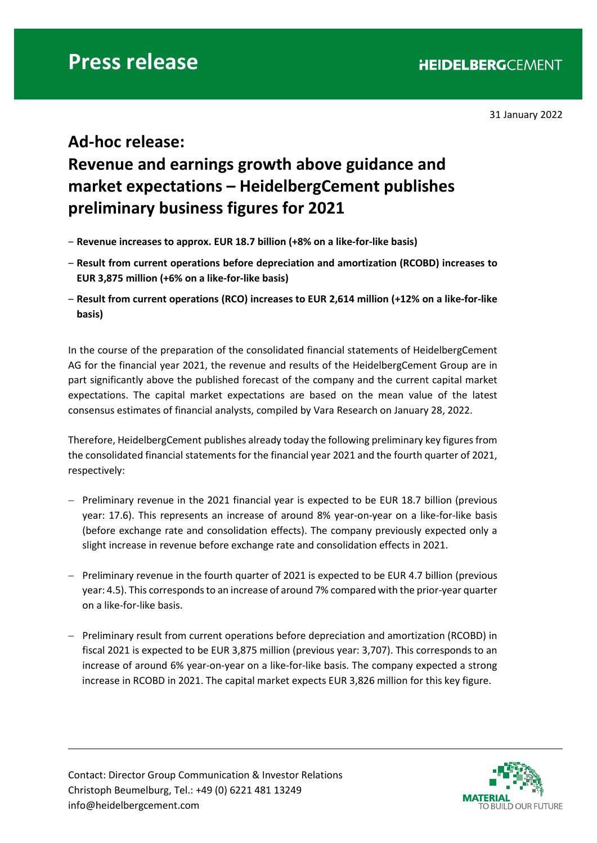31 January 2022

## **Ad-hoc release: Revenue and earnings growth above guidance and market expectations – HeidelbergCement publishes preliminary business figures for 2021**

- ‒ **Revenue increases to approx. EUR 18.7 billion (+8% on a like-for-like basis)**
- ‒ **Result from current operations before depreciation and amortization (RCOBD) increases to EUR 3,875 million (+6% on a like-for-like basis)**
- ‒ **Result from current operations (RCO) increases to EUR 2,614 million (+12% on a like-for-like basis)**

In the course of the preparation of the consolidated financial statements of HeidelbergCement AG for the financial year 2021, the revenue and results of the HeidelbergCement Group are in part significantly above the published forecast of the company and the current capital market expectations. The capital market expectations are based on the mean value of the latest consensus estimates of financial analysts, compiled by Vara Research on January 28, 2022.

Therefore, HeidelbergCement publishes already today the following preliminary key figures from the consolidated financial statements for the financial year 2021 and the fourth quarter of 2021, respectively:

- − Preliminary revenue in the 2021 financial year is expected to be EUR 18.7 billion (previous year: 17.6). This represents an increase of around 8% year-on-year on a like-for-like basis (before exchange rate and consolidation effects). The company previously expected only a slight increase in revenue before exchange rate and consolidation effects in 2021.
- − Preliminary revenue in the fourth quarter of 2021 is expected to be EUR 4.7 billion (previous year: 4.5). This corresponds to an increase of around 7% compared with the prior-year quarter on a like-for-like basis.
- − Preliminary result from current operations before depreciation and amortization (RCOBD) in fiscal 2021 is expected to be EUR 3,875 million (previous year: 3,707). This corresponds to an increase of around 6% year-on-year on a like-for-like basis. The company expected a strong increase in RCOBD in 2021. The capital market expects EUR 3,826 million for this key figure.